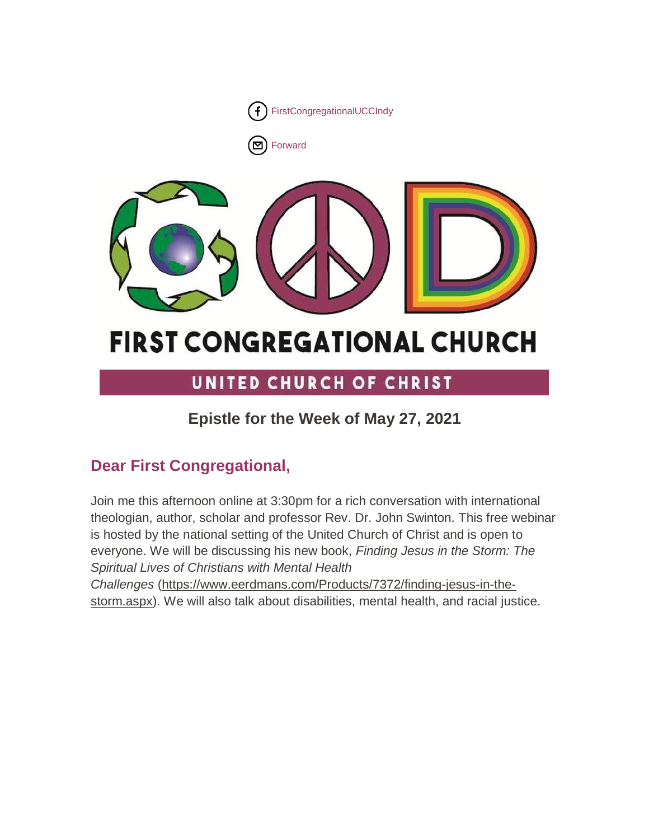

■[Forward](http://us16.forward-to-friend.com/forward?u=7a2e4c501545b6d78729a64a1&id=bb30fda53f&e=%5bUNIQID%5d)



# **FIRST CONGREGATIONAL CHURCH**

## UNITED CHURCH OF CHRIST

## **Epistle for the Week of May 27, 2021**

## **Dear First Congregational,**

Join me this afternoon online at 3:30pm for a rich conversation with international theologian, author, scholar and professor Rev. Dr. John Swinton. This free webinar is hosted by the national setting of the United Church of Christ and is open to everyone. We will be discussing his new book, *Finding Jesus in the Storm: The Spiritual Lives of Christians with Mental Health* 

*Challenges* [\(https://www.eerdmans.com/Products/7372/finding-jesus-in-the](https://www.eerdmans.com/Products/7372/finding-jesus-in-the-storm.aspx)[storm.aspx\)](https://www.eerdmans.com/Products/7372/finding-jesus-in-the-storm.aspx). We will also talk about disabilities, mental health, and racial justice.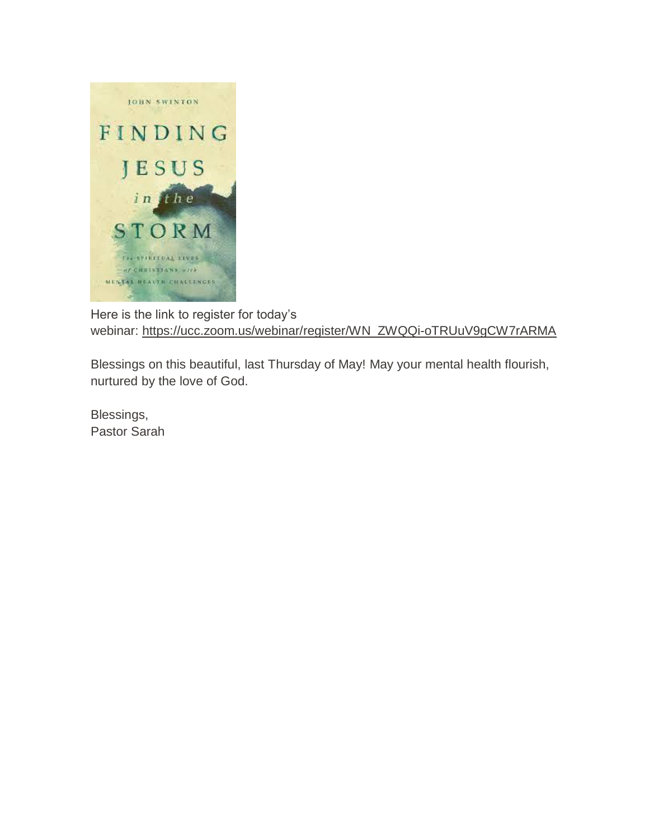

Here is the link to register for today's webinar: [https://ucc.zoom.us/webinar/register/WN\\_ZWQQi-oTRUuV9gCW7rARMA](https://ucc.zoom.us/webinar/register/WN_ZWQQi-oTRUuV9gCW7rARMA)

Blessings on this beautiful, last Thursday of May! May your mental health flourish, nurtured by the love of God.

Blessings, Pastor Sarah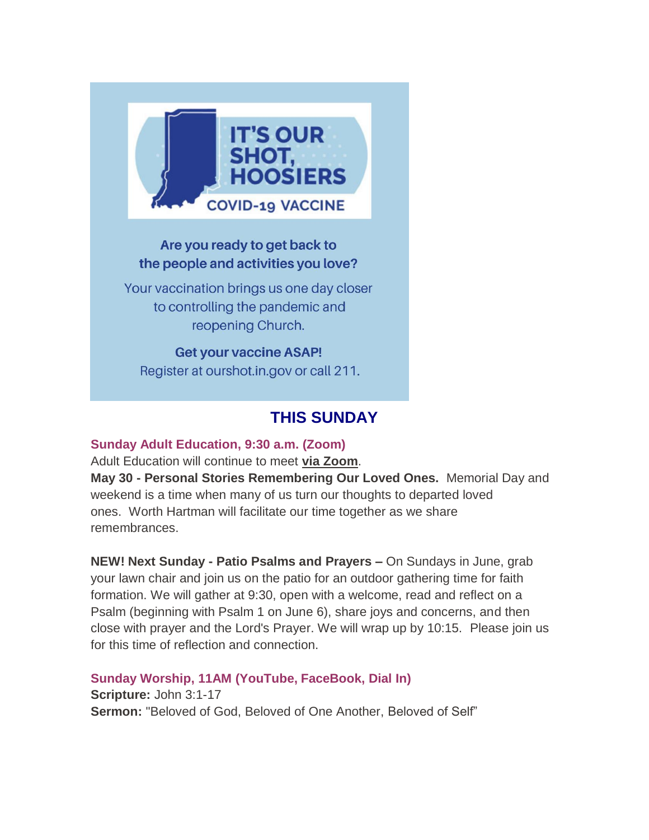

#### Are you ready to get back to the people and activities you love?

Your vaccination brings us one day closer to controlling the pandemic and reopening Church.

**Get your vaccine ASAP!** Register at ourshot.in.gov or call 211.

## **THIS SUNDAY**

#### **Sunday Adult Education, 9:30 a.m. (Zoom)**

Adult Education will continue to meet **[via Zoom](https://us02web.zoom.us/j/9264494206?pwd=dmtWbWE5UXRBTk5pcHZlYlB0aEFVUT09)**.

**May 30 - Personal Stories Remembering Our Loved Ones.** Memorial Day and weekend is a time when many of us turn our thoughts to departed loved ones. Worth Hartman will facilitate our time together as we share remembrances.

**NEW! Next Sunday - Patio Psalms and Prayers –** On Sundays in June, grab your lawn chair and join us on the patio for an outdoor gathering time for faith formation. We will gather at 9:30, open with a welcome, read and reflect on a Psalm (beginning with Psalm 1 on June 6), share joys and concerns, and then close with prayer and the Lord's Prayer. We will wrap up by 10:15. Please join us for this time of reflection and connection.

**Sunday Worship, 11AM (YouTube, FaceBook, Dial In) Scripture:** John 3:1-17 **Sermon:** "Beloved of God, Beloved of One Another, Beloved of Self"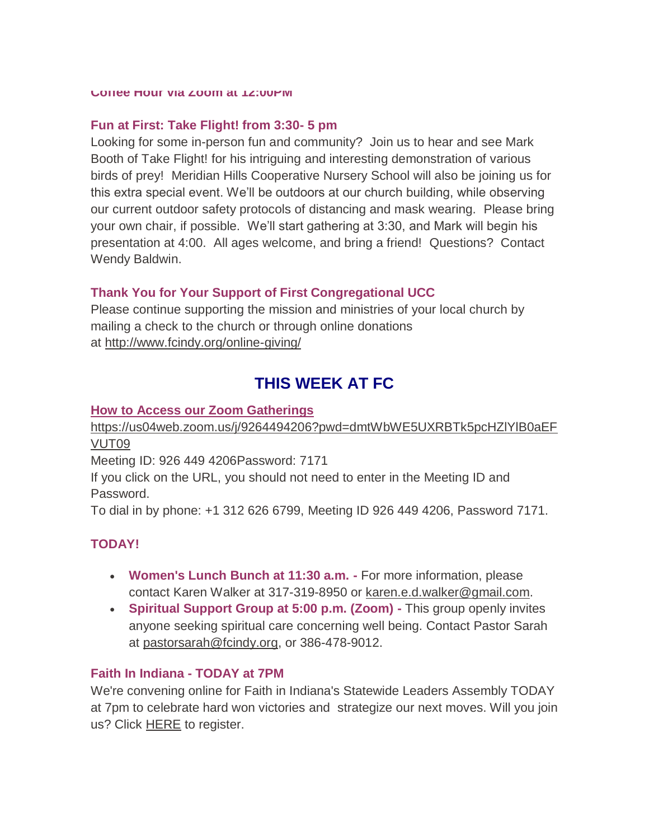**Coffee Hour via Zoom at 12:00PM**

#### **Fun at First: Take Flight! from 3:30- 5 pm**

Looking for some in-person fun and community? Join us to hear and see Mark Booth of Take Flight! for his intriguing and interesting demonstration of various birds of prey! Meridian Hills Cooperative Nursery School will also be joining us for this extra special event. We'll be outdoors at our church building, while observing our current outdoor safety protocols of distancing and mask wearing. Please bring your own chair, if possible. We'll start gathering at 3:30, and Mark will begin his presentation at 4:00. All ages welcome, and bring a friend! Questions? Contact Wendy Baldwin.

#### **Thank You for Your Support of First Congregational UCC**

Please continue supporting the mission and ministries of your local church by mailing a check to the church or through online donations at <http://www.fcindy.org/online-giving/>

## **THIS WEEK AT FC**

#### **How to Access our Zoom Gatherings**

[https://us04web.zoom.us/j/9264494206?pwd=dmtWbWE5UXRBTk5pcHZlYlB0aEF](https://us04web.zoom.us/j/9264494206?pwd=dmtWbWE5UXRBTk5pcHZlYlB0aEFVUT09) [VUT09](https://us04web.zoom.us/j/9264494206?pwd=dmtWbWE5UXRBTk5pcHZlYlB0aEFVUT09)

Meeting ID: 926 449 4206Password: 7171

If you click on the URL, you should not need to enter in the Meeting ID and Password.

To dial in by phone: +1 312 626 6799, Meeting ID 926 449 4206, Password 7171.

#### **TODAY!**

- **Women's Lunch Bunch at 11:30 a.m. -** For more information, please contact Karen Walker at 317-319-8950 or [karen.e.d.walker@gmail.com.](mailto:karen.e.d.walker@gmail.com)
- **Spiritual Support Group at 5:00 p.m. (Zoom) -** This group openly invites anyone seeking spiritual care concerning well being. Contact Pastor Sarah at [pastorsarah@fcindy.org,](mailto:pastorsarah@fcindy.org) or 386-478-9012.

#### **Faith In Indiana - TODAY at 7PM**

We're convening online for Faith in Indiana's Statewide Leaders Assembly TODAY at 7pm to celebrate hard won victories and strategize our next moves. Will you join us? Click [HERE](https://faithindiana.zoom.us/meeting/register/tJwscuGprDgrHN2AdcbNBfJkpBVBkICZBHgm?eType=EmailBlastContent&eId=b3e5ed44-c725-4404-934f-2285f39633fd) to register.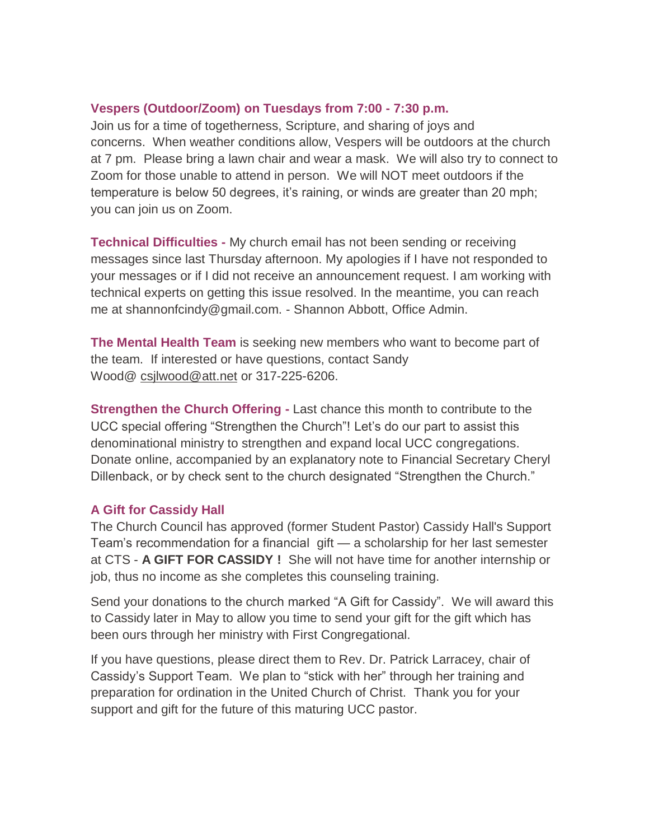#### **Vespers (Outdoor/Zoom) on Tuesdays from 7:00 - 7:30 p.m.**

Join us for a time of togetherness, Scripture, and sharing of joys and concerns. When weather conditions allow, Vespers will be outdoors at the church at 7 pm. Please bring a lawn chair and wear a mask. We will also try to connect to Zoom for those unable to attend in person. We will NOT meet outdoors if the temperature is below 50 degrees, it's raining, or winds are greater than 20 mph; you can join us on Zoom.

**Technical Difficulties -** My church email has not been sending or receiving messages since last Thursday afternoon. My apologies if I have not responded to your messages or if I did not receive an announcement request. I am working with technical experts on getting this issue resolved. In the meantime, you can reach me at shannonfcindy@gmail.com. - Shannon Abbott, Office Admin.

**The Mental Health Team** is seeking new members who want to become part of the team. If interested or have questions, contact Sandy Wood@ [csjlwood@att.net](mailto:csjlwood@att.net) or 317-225-6206.

**Strengthen the Church Offering -** Last chance this month to contribute to the UCC special offering "Strengthen the Church"! Let's do our part to assist this denominational ministry to strengthen and expand local UCC congregations. Donate online, accompanied by an explanatory note to Financial Secretary Cheryl Dillenback, or by check sent to the church designated "Strengthen the Church."

#### **A Gift for Cassidy Hall**

The Church Council has approved (former Student Pastor) Cassidy Hall's Support Team's recommendation for a financial gift — a scholarship for her last semester at CTS - **A GIFT FOR CASSIDY !** She will not have time for another internship or job, thus no income as she completes this counseling training.

Send your donations to the church marked "A Gift for Cassidy". We will award this to Cassidy later in May to allow you time to send your gift for the gift which has been ours through her ministry with First Congregational.

If you have questions, please direct them to Rev. Dr. Patrick Larracey, chair of Cassidy's Support Team. We plan to "stick with her" through her training and preparation for ordination in the United Church of Christ. Thank you for your support and gift for the future of this maturing UCC pastor.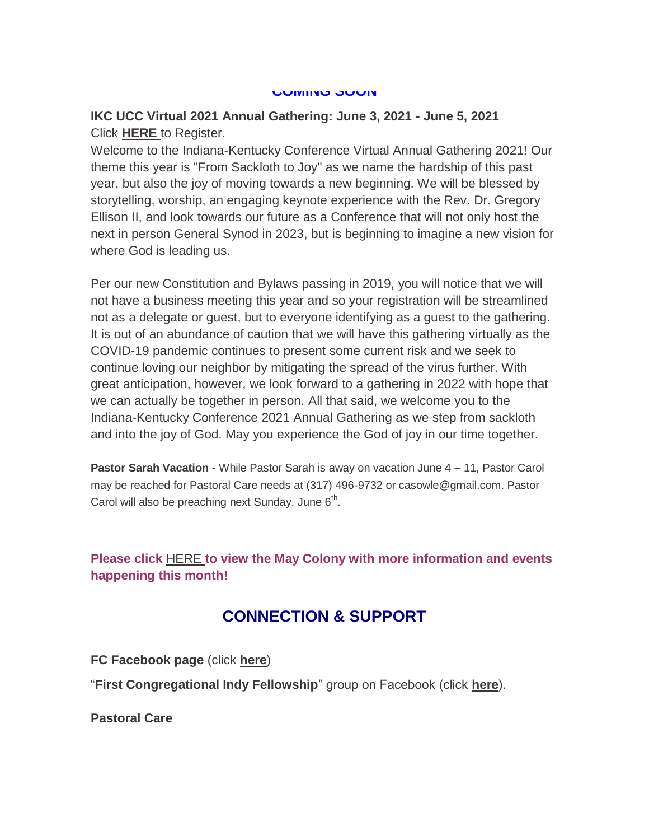#### **COMING SOON**

#### **IKC UCC Virtual 2021 Annual Gathering: June 3, 2021 - June 5, 2021** Click **[HERE](http://events.r20.constantcontact.com/register/event?oeidk=a07ehx2mnllab02071f&llr=iby9x9dab)** to Register.

Welcome to the Indiana-Kentucky Conference Virtual Annual Gathering 2021! Our theme this year is "From Sackloth to Joy" as we name the hardship of this past year, but also the joy of moving towards a new beginning. We will be blessed by storytelling, worship, an engaging keynote experience with the Rev. Dr. Gregory Ellison II, and look towards our future as a Conference that will not only host the next in person General Synod in 2023, but is beginning to imagine a new vision for where God is leading us.

Per our new Constitution and Bylaws passing in 2019, you will notice that we will not have a business meeting this year and so your registration will be streamlined not as a delegate or guest, but to everyone identifying as a guest to the gathering. It is out of an abundance of caution that we will have this gathering virtually as the COVID-19 pandemic continues to present some current risk and we seek to continue loving our neighbor by mitigating the spread of the virus further. With great anticipation, however, we look forward to a gathering in 2022 with hope that we can actually be together in person. All that said, we welcome you to the Indiana-Kentucky Conference 2021 Annual Gathering as we step from sackloth and into the joy of God. May you experience the God of joy in our time together.

**Pastor Sarah Vacation -** While Pastor Sarah is away on vacation June 4 – 11, Pastor Carol may be reached for Pastoral Care needs at (317) 496-9732 or [casowle@gmail.com.](mailto:casowle@gmail.com) Pastor Carol will also be preaching next Sunday, June  $6<sup>th</sup>$ .

#### **Please click** [HERE](https://mcusercontent.com/7a2e4c501545b6d78729a64a1/files/4829092a-9266-4e2f-a5d7-b1df27a81bda/May_Colony_2021.01.pdf) **[t](https://mcusercontent.com/7a2e4c501545b6d78729a64a1/files/4829092a-9266-4e2f-a5d7-b1df27a81bda/May_Colony_2021.01.pdf)o view the May Colony with more information and events happening this month!**

### **CONNECTION & SUPPORT**

**FC Facebook page** (click **[here](https://www.facebook.com/FirstCongregationalUCCIndy/)**)

"**First Congregational Indy Fellowship**" group on Facebook (click **[here](https://www.facebook.com/groups/521333455186422/)**).

**Pastoral Care**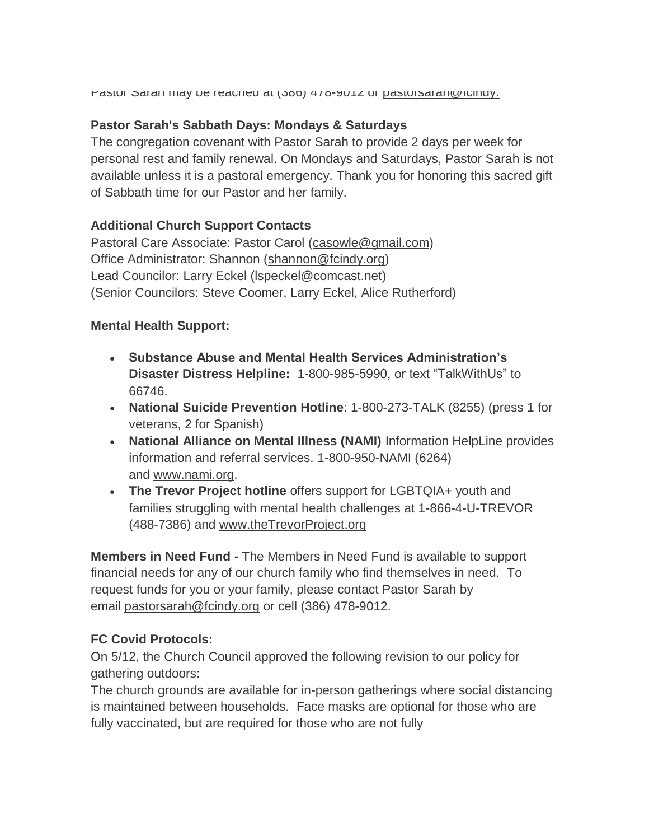Pastor Sarah may be reached at (386) 478-9012 or pastorsaram@fcindy.

#### **Pastor Sarah's Sabbath Days: Mondays & Saturdays**

The congregation covenant with Pastor Sarah to provide 2 days per week for personal rest and family renewal. On Mondays and Saturdays, Pastor Sarah is not available unless it is a pastoral emergency. Thank you for honoring this sacred gift of Sabbath time for our Pastor and her family.

#### **Additional Church Support Contacts**

Pastoral Care Associate: Pastor Carol [\(casowle@gmail.com\)](mailto:casowle@gmail.com) Office Administrator: Shannon [\(shannon@fcindy.org\)](mailto:shannon@fcindy.org) Lead Councilor: Larry Eckel [\(lspeckel@comcast.net\)](mailto:lspeckel@comcast.net) (Senior Councilors: Steve Coomer, Larry Eckel, Alice Rutherford)

#### **Mental Health Support:**

- **Substance Abuse and Mental Health Services Administration's Disaster Distress Helpline:** 1-800-985-5990, or text "TalkWithUs" to 66746.
- **National Suicide Prevention Hotline**: 1-800-273-TALK (8255) (press 1 for veterans, 2 for Spanish)
- **National Alliance on Mental Illness (NAMI)** Information HelpLine provides information and referral services. 1-800-950-NAMI (6264) and [www.nami.org.](http://www.nami.org/)
- **The Trevor Project hotline** offers support for LGBTQIA+ youth and families struggling with mental health challenges at 1-866-4-U-TREVOR (488-7386) and [www.theTrevorProject.org](http://www.thetrevorproject.org/)

**Members in Need Fund -** The Members in Need Fund is available to support financial needs for any of our church family who find themselves in need. To request funds for you or your family, please contact Pastor Sarah by email [pastorsarah@fcindy.org](mailto:pastorsarah@fcindy.org) or cell (386) 478-9012.

#### **FC Covid Protocols:**

On 5/12, the Church Council approved the following revision to our policy for gathering outdoors:

The church grounds are available for in-person gatherings where social distancing is maintained between households. Face masks are optional for those who are fully vaccinated, but are required for those who are not fully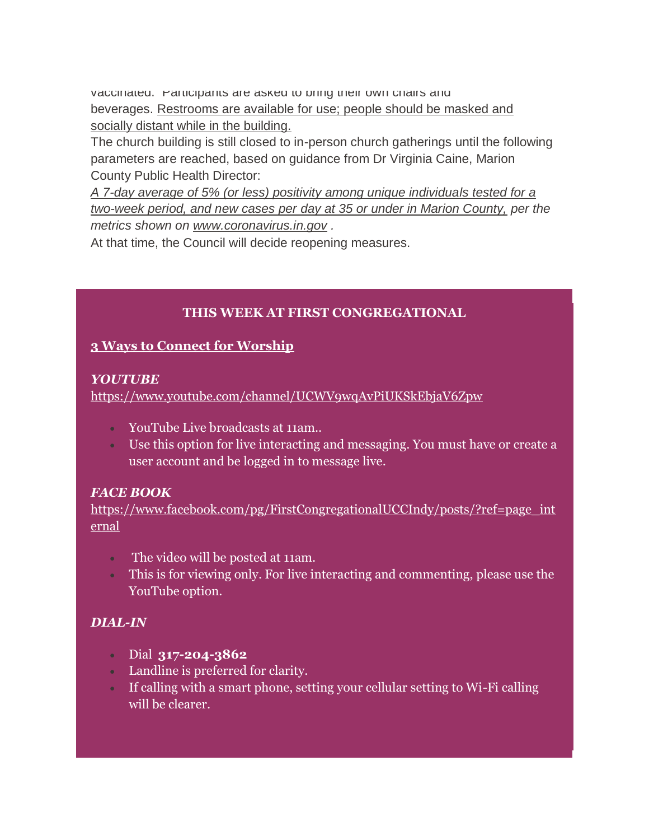vaccinated. Participants are asked to bring their own chairs and beverages. Restrooms are available for use; people should be masked and socially distant while in the building.

The church building is still closed to in-person church gatherings until the following parameters are reached, based on guidance from Dr Virginia Caine, Marion County Public Health Director:

*A 7-day average of 5% (or less) positivity among unique individuals tested for a two-week period, and new cases per day at 35 or under in Marion County, per the metrics shown on [www.coronavirus.in.gov](https://fcindy.us16.list-manage.com/track/click?u=7a2e4c501545b6d78729a64a1&id=3a4df53b60&e=605c2c8600) .*

At that time, the Council will decide reopening measures.

#### **THIS WEEK AT FIRST CONGREGATIONAL**

#### **3 Ways to Connect for Worship**

#### *YOUTUBE*

<https://www.youtube.com/channel/UCWV9wqAvPiUKSkEbjaV6Zpw>

- YouTube Live broadcasts at 11am..
- Use this option for live interacting and messaging. You must have or create a user account and be logged in to message live.

#### *FACE BOOK*

[https://www.facebook.com/pg/FirstCongregationalUCCIndy/posts/?ref=page\\_int](https://www.facebook.com/pg/FirstCongregationalUCCIndy/posts/?ref=page_internal) [ernal](https://www.facebook.com/pg/FirstCongregationalUCCIndy/posts/?ref=page_internal)

- The video will be posted at 11am.
- This is for viewing only. For live interacting and commenting, please use the YouTube option.

#### *DIAL-IN*

- Dial **317-204-3862**
- Landline is preferred for clarity.
- If calling with a smart phone, setting your cellular setting to Wi-Fi calling will be clearer.